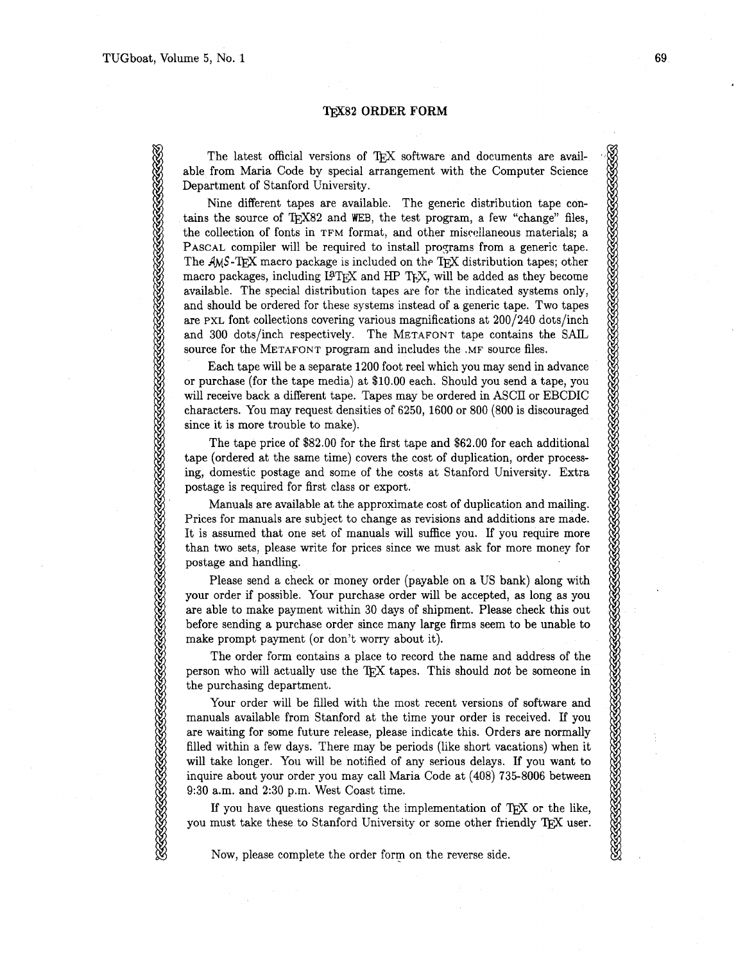# **TFX82 ORDER FORM**

The latest official versions of TFX software and documents are available from Maria Code by special arrangement with the Computer Science Department of Stanford University.

Nine different tapes are available. The generic distribution tape contains the source of TrX82 and WEB, the test program, a few "change" files, the collection of fonts in TFM format, and other misceilaneous materials; a PASCAL compiler will be required to install proqrams from a generic tape. The AMS-TFX macro package is included on the TFX distribution tapes; other macro packages, including IPTEX and HP TEX, will be added as they become available. The special distribution tapes are for the indicated systems only, and should be ordered for these systems instead of a generic tape. Two tapes are PXL font collections covering various magnifications at 200/240 dots/inch and 300 dots/inch respectively. The METAFONT tape contains the SAIL source for the METAFONT program and includes the .MF source files. The laterst official versions of fig.X software and decumnated from butting the butting the second butting the same stable. The general dirtubution behavior that is the second of SMS2 and weak the respect a trivial than t

Each tape will be a separate 1200 foot reel which you may send in advance or purchase (for the tape media) at \$10.00 each. Should you send a tape, you will receive back a different tape. Tapes may be ordered in ASCII or EBCDIC characters. You may request densities of 6250, 1600 or 800 (800 is discouraged since it is more trouble to make).

The tape price of \$82.00 for the first tape and \$62.00 for each additional tape (ordered at the same time) covers the cost of duplication, order processing, domestic postage and some of the costs at Stanford University. Extra postage is required for first class or export.

Manuals are available at the approximate cost of duplication and mailing. Prices for manuals are subject to change as revisions and additions are made. It is assumed that one set of manuals will suffice you. If you require more than two sets, please write for prices since we must ask for more money for postage and handling.

Please send a check or money order (payable on a US bank) along with your order if possible. Your purchase order will be accepted, as long as you are able to make payment within 30 days of shipment. Please check this out before sending a purchase order since many large firms seem to be unable to make prompt payment (or don't worry about it).

The order form contains a place to record the name and address of the person who will actually use the  $T_F X$  tapes. This should not be someone in the purchasing department.

Your order will be filled with the most recent versions of software and manuals available from Stanford at the time your order is received. If you are waiting for some future release, please indicate this. Orders are normally filled within a few days. There may be periods (like short vacations) when it will take longer. You will be notified of any serious delays. If you want to inquire about your order you may call Maria Code at (408) 735-8006 between 9:30 a.m. and 2:30 p.m. West Coast time.

If you have questions regarding the implementation of T $\overline{r}X$  or the like, you must take these to Stanford University or some other friendly TFX user.

<u> a and a complement and a complement and a complement and a complement and a complement and a complement and</u>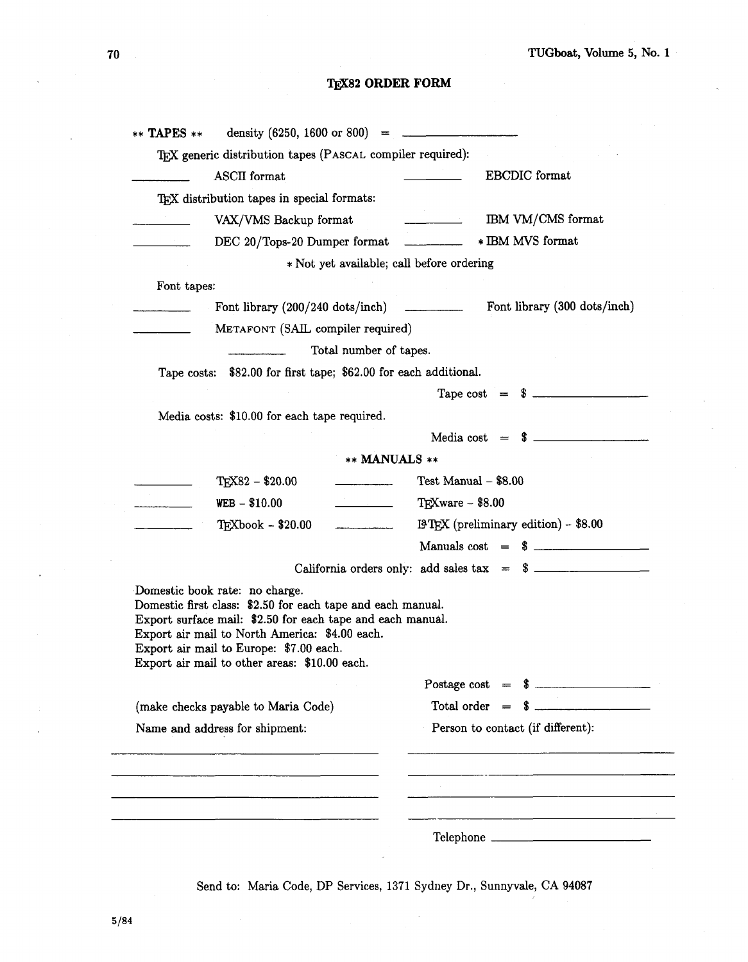# TEX82 ORDER FORM

| <b>ASCII</b> format                                                                                                                                                                                                                                                                                       | TEX generic distribution tapes (PASCAL compiler required):<br>EBCDIC format      |
|-----------------------------------------------------------------------------------------------------------------------------------------------------------------------------------------------------------------------------------------------------------------------------------------------------------|----------------------------------------------------------------------------------|
| TFX distribution tapes in special formats:                                                                                                                                                                                                                                                                |                                                                                  |
|                                                                                                                                                                                                                                                                                                           | IBM VM/CMS format                                                                |
| VAX/VMS Backup format                                                                                                                                                                                                                                                                                     | * IBM MVS format                                                                 |
| DEC 20/Tops-20 Dumper format                                                                                                                                                                                                                                                                              |                                                                                  |
|                                                                                                                                                                                                                                                                                                           | * Not yet available; call before ordering                                        |
| Font tapes:                                                                                                                                                                                                                                                                                               | Font library (200/240 dots/inch) __________________ Font library (300 dots/inch) |
|                                                                                                                                                                                                                                                                                                           |                                                                                  |
| METAFONT (SAIL compiler required)                                                                                                                                                                                                                                                                         |                                                                                  |
| Total number of tapes.                                                                                                                                                                                                                                                                                    |                                                                                  |
| Tape costs: \$82.00 for first tape; \$62.00 for each additional.                                                                                                                                                                                                                                          | Tape $cost = $$                                                                  |
|                                                                                                                                                                                                                                                                                                           |                                                                                  |
| Media costs: \$10.00 for each tape required.                                                                                                                                                                                                                                                              |                                                                                  |
|                                                                                                                                                                                                                                                                                                           | ** MANUALS **                                                                    |
| $T_{\text{E}}X82 - $20.00$                                                                                                                                                                                                                                                                                | Test Manual - \$8.00                                                             |
| $WEB - $10.00$                                                                                                                                                                                                                                                                                            | TEXware - \$8.00                                                                 |
| TEXbook - \$20.00                                                                                                                                                                                                                                                                                         | $19$ TEX (preliminary edition) - \$8.00                                          |
|                                                                                                                                                                                                                                                                                                           | Manuals cost = $\quad$                                                           |
|                                                                                                                                                                                                                                                                                                           | California orders only: add sales $\text{tax} = \$$ ________________             |
|                                                                                                                                                                                                                                                                                                           |                                                                                  |
| Domestic book rate: no charge.<br>Domestic first class: \$2.50 for each tape and each manual.<br>Export surface mail: \$2.50 for each tape and each manual.<br>Export air mail to North America: \$4.00 each.<br>Export air mail to Europe: \$7.00 each.<br>Export air mail to other areas: \$10.00 each. |                                                                                  |
|                                                                                                                                                                                                                                                                                                           | Postage $cost = $$                                                               |
| (make checks payable to Maria Code)                                                                                                                                                                                                                                                                       | Total order $=$ \$                                                               |
| Name and address for shipment:                                                                                                                                                                                                                                                                            | Person to contact (if different):                                                |
|                                                                                                                                                                                                                                                                                                           |                                                                                  |
|                                                                                                                                                                                                                                                                                                           |                                                                                  |
|                                                                                                                                                                                                                                                                                                           |                                                                                  |
|                                                                                                                                                                                                                                                                                                           |                                                                                  |
|                                                                                                                                                                                                                                                                                                           |                                                                                  |

Send to: Maria Code, DP Services, 1371 Sydney Dr., Sunnyvale, CA 94087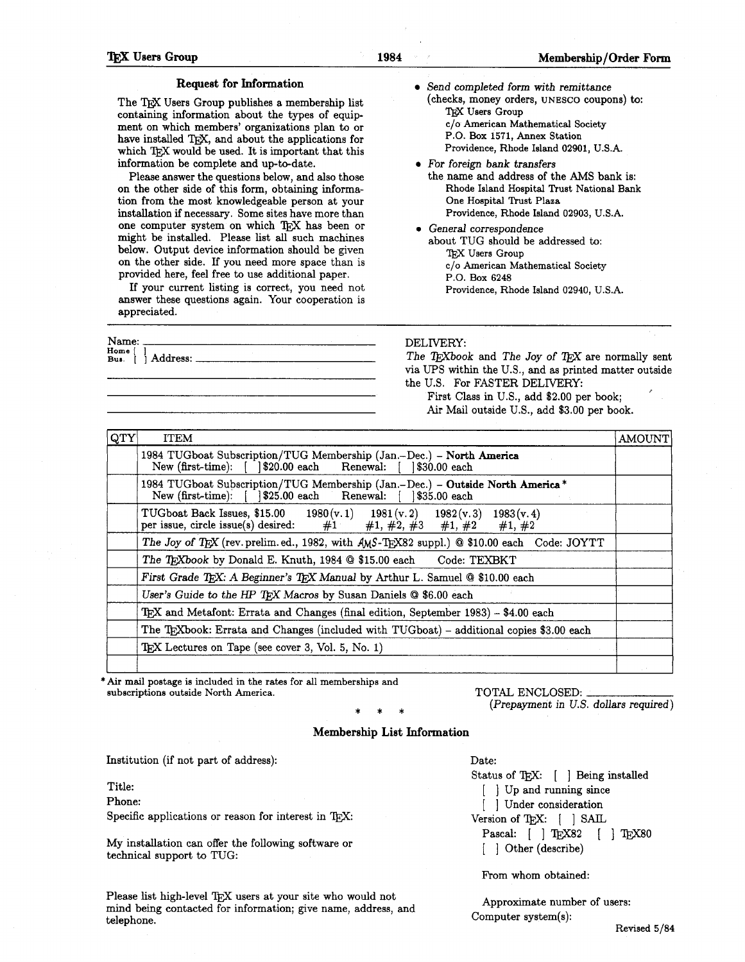### **Request for Information**

The TrX Users Group publishes a membership list containing information about the types of equip ment on which members' organizations plan to or have installed TEX, and about the applications for which  $TEX$  would be used. It is important that this information be complete and up-to-date.

Please answer the questions below, and also those on the other side of this form, obtaining information from the most knowledgeable person at your installation if necessary. Some sites have more than one computer system on which QX has been or might be installed. Please list all such machines below. Output device information should be given on the other side. If you need more space than is provided here, feel free to use additional paper.

If your current listing is correct, you need not answer these questions again. Your cooperation is appreciated.

| Send completed form with remittance        |  |
|--------------------------------------------|--|
| (checks, money orders, UNESCO coupons) to: |  |
| TEX Users Group                            |  |
| c/o American Mathematical Society          |  |
| P.O. Box 1571, Annex Station               |  |
| Providence, Rhode Island 02901, U.S.A.     |  |
|                                            |  |

- For foreign bank transfers the name and address of the AMS bank is: Rhode Island Hospital Trust National Bank One Hospital Trust Plaza Providence, Rhode Island 02903, U.S.A.
- **0** General correspondence about TUG should be addressed to: TFX Users Group c/o American Mathematical Society P.O. Box 6248 Providence, Rhode Island 02940, U.S.A.

| Name: ____________<br>Home [ ]<br>Bus. [ ] Address: _______ |  |  |  |  |
|-------------------------------------------------------------|--|--|--|--|
|                                                             |  |  |  |  |
|                                                             |  |  |  |  |

#### DELIVERY:

The TFXbook and The Joy of TFX are normally sent via UPS within the US., and as printed matter outside the US. For FASTER DELIVERY:

First Class in US., add \$2.00 per book; Air Mail outside US., add \$3.00 per book.

| QTY | <b>ITEM</b>                                                                                                                                     | <b>AMOUNT</b> |
|-----|-------------------------------------------------------------------------------------------------------------------------------------------------|---------------|
|     | 1984 TUGboat Subscription/TUG Membership (Jan.-Dec.) - North America<br>New (first-time): [ ]\$20.00 each Renewal: [<br>  \$30.00 each          |               |
|     | 1984 TUGboat Subscription/TUG Membership (Jan.-Dec.) - Outside North America*<br>New (first-time): [ ]\$25.00 each Renewal: [<br>1\$35.00 each  |               |
|     | TUGboat Back Issues, \$15.00 $1980(v.1)$ $1981(v.2)$ $1982(v.3)$ $1983(v.4)$<br>per issue, circle issue(s) desired: #1 #1, #2, #3 #1, #2 #1, #2 |               |
|     | The Joy of TEX (rev. prelim. ed., 1982, with AMS-TEX82 suppl.) @ \$10.00 each Code: JOYTT                                                       |               |
|     | The TEXbook by Donald E. Knuth, 1984 @ \$15.00 each Code: TEXBKT                                                                                |               |
|     | First Grade TEX: A Beginner's TEX Manual by Arthur L. Samuel @ \$10.00 each                                                                     |               |
|     | User's Guide to the HP TEX Macros by Susan Daniels @ \$6.00 each                                                                                |               |
|     | T <sub>E</sub> X and Metafont: Errata and Changes (final edition, September 1983) $-$ \$4.00 each                                               |               |
|     | The TEXbook: Errata and Changes (included with TUGboat) - additional copies \$3.00 each                                                         |               |
|     | TEX Lectures on Tape (see cover 3, Vol. 5, No. 1)                                                                                               |               |
|     |                                                                                                                                                 |               |

\*Air mail postage is included in the rates for all memberships and subscriptions outside North America. TOTAL ENCLOSED:

 $*$  \* (Prepayment in U.S. dollars required)

## **Membership List Information**

Institution (if not part of address):

Title:

Phone:

Specific applications or reason for interest in TEX:

My installation can offer the following software or technical support to TUG:

Please list high-level T<sub>E</sub>X users at your site who would not Approximate number of users:<br>mind being contacted for information; give name, address, and Computer system(s):

Date:

Status of QX: [ ] Being installed [ ] Up and running since [ ] Under consideration Version of TEX:  $\begin{bmatrix} \end{bmatrix}$  SAIL Pascal: [ ] TEX82 [ ] TEX80 [ ] Other (describe)

From whom obtained:

Computer system $(s)$ :